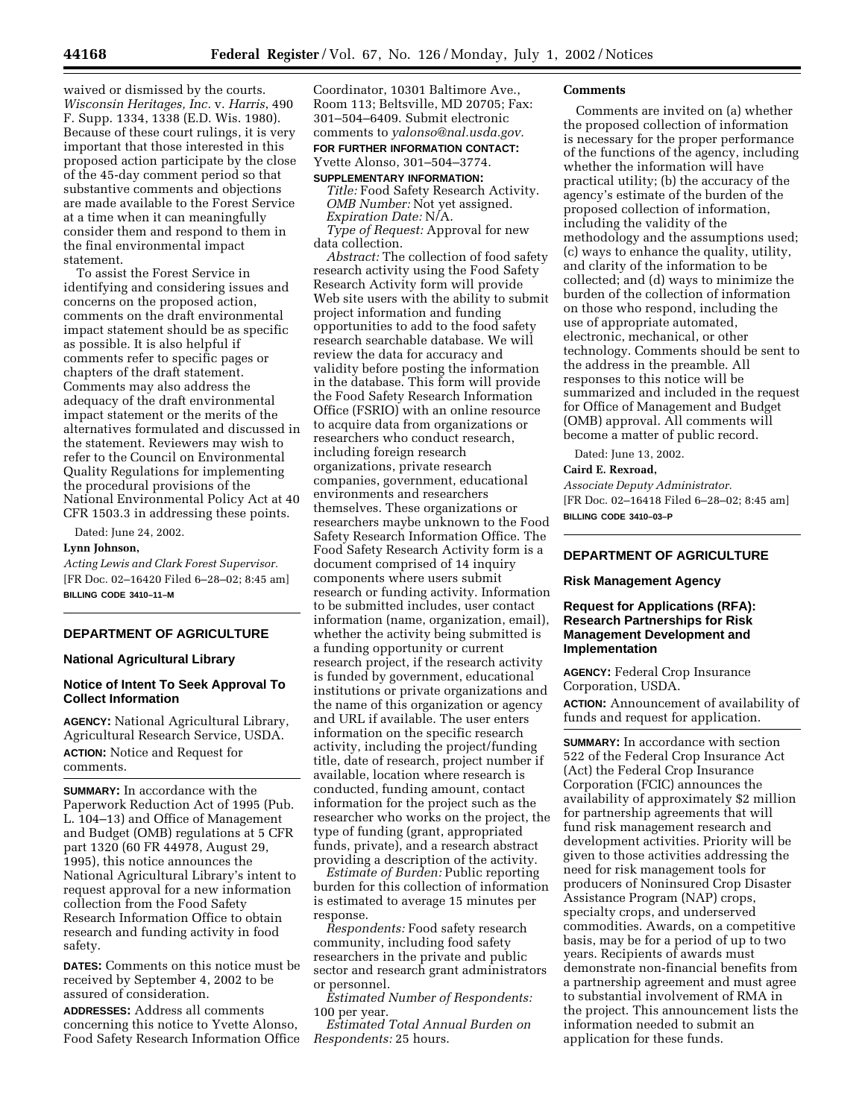waived or dismissed by the courts. *Wisconsin Heritages, Inc.* v. *Harris*, 490 F. Supp. 1334, 1338 (E.D. Wis. 1980). Because of these court rulings, it is very important that those interested in this proposed action participate by the close of the 45-day comment period so that substantive comments and objections are made available to the Forest Service at a time when it can meaningfully consider them and respond to them in the final environmental impact statement.

To assist the Forest Service in identifying and considering issues and concerns on the proposed action, comments on the draft environmental impact statement should be as specific as possible. It is also helpful if comments refer to specific pages or chapters of the draft statement. Comments may also address the adequacy of the draft environmental impact statement or the merits of the alternatives formulated and discussed in the statement. Reviewers may wish to refer to the Council on Environmental Quality Regulations for implementing the procedural provisions of the National Environmental Policy Act at 40 CFR 1503.3 in addressing these points.

Dated: June 24, 2002.

# **Lynn Johnson,**

*Acting Lewis and Clark Forest Supervisor.* [FR Doc. 02–16420 Filed 6–28–02; 8:45 am] **BILLING CODE 3410–11–M**

# **DEPARTMENT OF AGRICULTURE**

# **National Agricultural Library**

# **Notice of Intent To Seek Approval To Collect Information**

**AGENCY:** National Agricultural Library, Agricultural Research Service, USDA. **ACTION:** Notice and Request for comments.

**SUMMARY:** In accordance with the Paperwork Reduction Act of 1995 (Pub. L. 104–13) and Office of Management and Budget (OMB) regulations at 5 CFR part 1320 (60 FR 44978, August 29, 1995), this notice announces the National Agricultural Library's intent to request approval for a new information collection from the Food Safety Research Information Office to obtain research and funding activity in food safety.

**DATES:** Comments on this notice must be received by September 4, 2002 to be assured of consideration.

**ADDRESSES:** Address all comments concerning this notice to Yvette Alonso, Food Safety Research Information Office

Coordinator, 10301 Baltimore Ave., Room 113; Beltsville, MD 20705; Fax: 301–504–6409. Submit electronic comments to *yalonso@nal.usda.gov.* **FOR FURTHER INFORMATION CONTACT:** Yvette Alonso, 301–504–3774.

# **SUPPLEMENTARY INFORMATION:**  *Title:* Food Safety Research Activity.

*OMB Number:* Not yet assigned. *Expiration Date:* N/A. *Type of Request:* Approval for new data collection.

*Abstract:* The collection of food safety research activity using the Food Safety Research Activity form will provide Web site users with the ability to submit project information and funding opportunities to add to the food safety research searchable database. We will review the data for accuracy and validity before posting the information in the database. This form will provide the Food Safety Research Information Office (FSRIO) with an online resource to acquire data from organizations or researchers who conduct research, including foreign research organizations, private research companies, government, educational environments and researchers themselves. These organizations or researchers maybe unknown to the Food Safety Research Information Office. The Food Safety Research Activity form is a document comprised of 14 inquiry components where users submit research or funding activity. Information to be submitted includes, user contact information (name, organization, email), whether the activity being submitted is a funding opportunity or current research project, if the research activity is funded by government, educational institutions or private organizations and the name of this organization or agency and URL if available. The user enters information on the specific research activity, including the project/funding title, date of research, project number if available, location where research is conducted, funding amount, contact information for the project such as the researcher who works on the project, the type of funding (grant, appropriated funds, private), and a research abstract providing a description of the activity.

*Estimate of Burden:* Public reporting burden for this collection of information is estimated to average 15 minutes per response.

*Respondents:* Food safety research community, including food safety researchers in the private and public sector and research grant administrators or personnel.

*Estimated Number of Respondents:* 100 per year.

*Estimated Total Annual Burden on Respondents:* 25 hours.

## **Comments**

Comments are invited on (a) whether the proposed collection of information is necessary for the proper performance of the functions of the agency, including whether the information will have practical utility; (b) the accuracy of the agency's estimate of the burden of the proposed collection of information, including the validity of the methodology and the assumptions used; (c) ways to enhance the quality, utility, and clarity of the information to be collected; and (d) ways to minimize the burden of the collection of information on those who respond, including the use of appropriate automated, electronic, mechanical, or other technology. Comments should be sent to the address in the preamble. All responses to this notice will be summarized and included in the request for Office of Management and Budget (OMB) approval. All comments will become a matter of public record.

Dated: June 13, 2002.

## **Caird E. Rexroad,**

*Associate Deputy Administrator.* [FR Doc. 02–16418 Filed 6–28–02; 8:45 am] **BILLING CODE 3410–03–P**

# **DEPARTMENT OF AGRICULTURE**

## **Risk Management Agency**

# **Request for Applications (RFA): Research Partnerships for Risk Management Development and Implementation**

**AGENCY:** Federal Crop Insurance Corporation, USDA.

**ACTION:** Announcement of availability of funds and request for application.

**SUMMARY:** In accordance with section 522 of the Federal Crop Insurance Act (Act) the Federal Crop Insurance Corporation (FCIC) announces the availability of approximately \$2 million for partnership agreements that will fund risk management research and development activities. Priority will be given to those activities addressing the need for risk management tools for producers of Noninsured Crop Disaster Assistance Program (NAP) crops, specialty crops, and underserved commodities. Awards, on a competitive basis, may be for a period of up to two years. Recipients of awards must demonstrate non-financial benefits from a partnership agreement and must agree to substantial involvement of RMA in the project. This announcement lists the information needed to submit an application for these funds.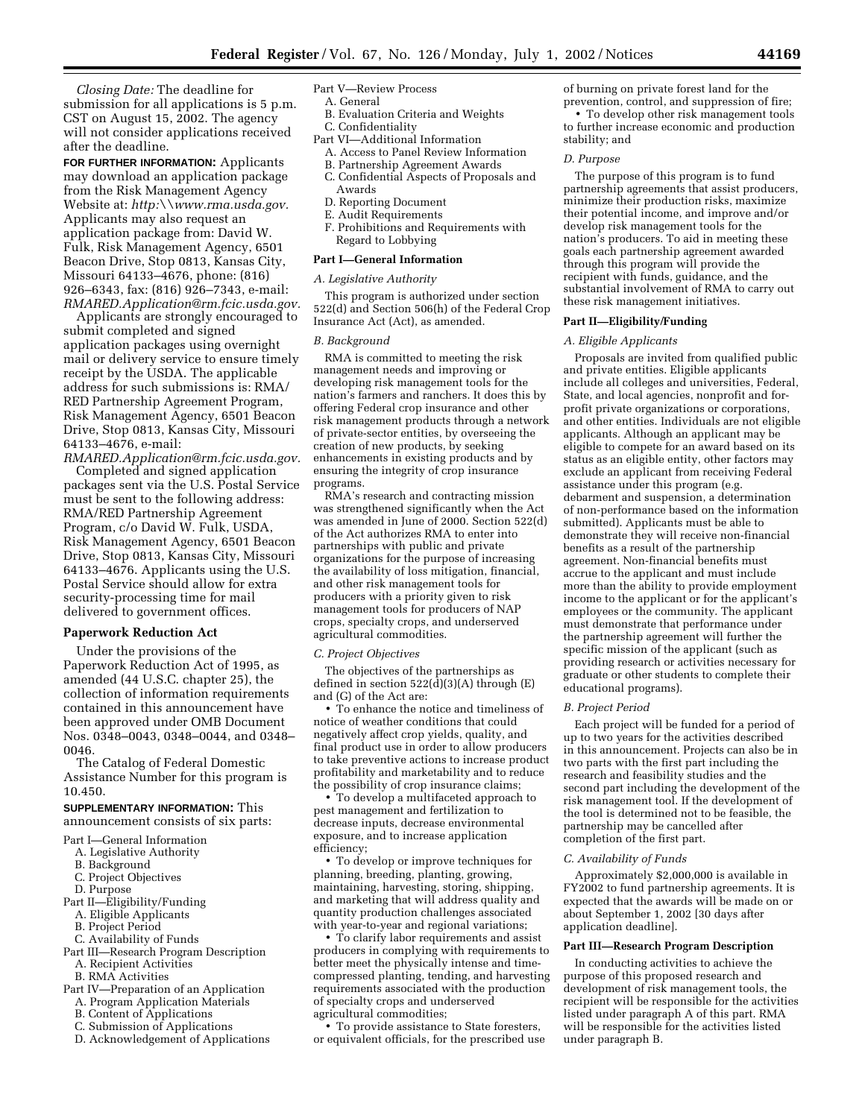*Closing Date:* The deadline for submission for all applications is 5 p.m. CST on August 15, 2002. The agency will not consider applications received after the deadline.

**FOR FURTHER INFORMATION:** Applicants may download an application package from the Risk Management Agency Website at: *http:\\www.rma.usda.gov.* Applicants may also request an application package from: David W. Fulk, Risk Management Agency, 6501 Beacon Drive, Stop 0813, Kansas City, Missouri 64133–4676, phone: (816) 926–6343, fax: (816) 926–7343, e-mail: *RMARED.Application@rm.fcic.usda.gov.*

Applicants are strongly encouraged to submit completed and signed application packages using overnight mail or delivery service to ensure timely receipt by the USDA. The applicable address for such submissions is: RMA/ RED Partnership Agreement Program, Risk Management Agency, 6501 Beacon Drive, Stop 0813, Kansas City, Missouri 64133–4676, e-mail:

*RMARED.Application@rm.fcic.usda.gov.* Completed and signed application

packages sent via the U.S. Postal Service must be sent to the following address: RMA/RED Partnership Agreement Program, c/o David W. Fulk, USDA, Risk Management Agency, 6501 Beacon Drive, Stop 0813, Kansas City, Missouri 64133–4676. Applicants using the U.S. Postal Service should allow for extra security-processing time for mail delivered to government offices.

# **Paperwork Reduction Act**

Under the provisions of the Paperwork Reduction Act of 1995, as amended (44 U.S.C. chapter 25), the collection of information requirements contained in this announcement have been approved under OMB Document Nos. 0348–0043, 0348–0044, and 0348– 0046.

The Catalog of Federal Domestic Assistance Number for this program is 10.450.

# **SUPPLEMENTARY INFORMATION:** This announcement consists of six parts:

- Part I—General Information
	- A. Legislative Authority
	- B. Background
	- C. Project Objectives
- D. Purpose
- Part II—Eligibility/Funding
- A. Eligible Applicants
- B. Project Period
- C. Availability of Funds
- Part III—Research Program Description
- A. Recipient Activities
- B. RMA Activities
- Part IV—Preparation of an Application
	- A. Program Application Materials
	- B. Content of Applications
	- C. Submission of Applications
	- D. Acknowledgement of Applications

# Part V—Review Process

- A. General
- B. Evaluation Criteria and Weights C. Confidentiality
- Part VI—Additional Information
- A. Access to Panel Review Information
- 
- B. Partnership Agreement Awards C. Confidential Aspects of Proposals and Awards
- D. Reporting Document
- E. Audit Requirements
- F. Prohibitions and Requirements with Regard to Lobbying

#### **Part I—General Information**

## *A. Legislative Authority*

This program is authorized under section 522(d) and Section 506(h) of the Federal Crop Insurance Act (Act), as amended.

### *B. Background*

RMA is committed to meeting the risk management needs and improving or developing risk management tools for the nation's farmers and ranchers. It does this by offering Federal crop insurance and other risk management products through a network of private-sector entities, by overseeing the creation of new products, by seeking enhancements in existing products and by ensuring the integrity of crop insurance programs.

RMA's research and contracting mission was strengthened significantly when the Act was amended in June of 2000. Section 522(d) of the Act authorizes RMA to enter into partnerships with public and private organizations for the purpose of increasing the availability of loss mitigation, financial, and other risk management tools for producers with a priority given to risk management tools for producers of NAP crops, specialty crops, and underserved agricultural commodities.

#### *C. Project Objectives*

The objectives of the partnerships as defined in section  $522(\text{d})(3)(\text{A})$  through (E) and (G) of the Act are:

• To enhance the notice and timeliness of notice of weather conditions that could negatively affect crop yields, quality, and final product use in order to allow producers to take preventive actions to increase product profitability and marketability and to reduce the possibility of crop insurance claims;

• To develop a multifaceted approach to pest management and fertilization to decrease inputs, decrease environmental exposure, and to increase application efficiency;

• To develop or improve techniques for planning, breeding, planting, growing, maintaining, harvesting, storing, shipping, and marketing that will address quality and quantity production challenges associated with year-to-year and regional variations;

• To clarify labor requirements and assist producers in complying with requirements to better meet the physically intense and timecompressed planting, tending, and harvesting requirements associated with the production of specialty crops and underserved agricultural commodities;

• To provide assistance to State foresters, or equivalent officials, for the prescribed use of burning on private forest land for the prevention, control, and suppression of fire;

• To develop other risk management tools to further increase economic and production stability; and

## *D. Purpose*

The purpose of this program is to fund partnership agreements that assist producers, minimize their production risks, maximize their potential income, and improve and/or develop risk management tools for the nation's producers. To aid in meeting these goals each partnership agreement awarded through this program will provide the recipient with funds, guidance, and the substantial involvement of RMA to carry out these risk management initiatives.

# **Part II—Eligibility/Funding**

#### *A. Eligible Applicants*

Proposals are invited from qualified public and private entities. Eligible applicants include all colleges and universities, Federal, State, and local agencies, nonprofit and forprofit private organizations or corporations, and other entities. Individuals are not eligible applicants. Although an applicant may be eligible to compete for an award based on its status as an eligible entity, other factors may exclude an applicant from receiving Federal assistance under this program (e.g. debarment and suspension, a determination of non-performance based on the information submitted). Applicants must be able to demonstrate they will receive non-financial benefits as a result of the partnership agreement. Non-financial benefits must accrue to the applicant and must include more than the ability to provide employment income to the applicant or for the applicant's employees or the community. The applicant must demonstrate that performance under the partnership agreement will further the specific mission of the applicant (such as providing research or activities necessary for graduate or other students to complete their educational programs).

#### *B. Project Period*

Each project will be funded for a period of up to two years for the activities described in this announcement. Projects can also be in two parts with the first part including the research and feasibility studies and the second part including the development of the risk management tool. If the development of the tool is determined not to be feasible, the partnership may be cancelled after completion of the first part.

## *C. Availability of Funds*

Approximately \$2,000,000 is available in FY2002 to fund partnership agreements. It is expected that the awards will be made on or about September 1, 2002 [30 days after application deadline].

## **Part III—Research Program Description**

In conducting activities to achieve the purpose of this proposed research and development of risk management tools, the recipient will be responsible for the activities listed under paragraph A of this part. RMA will be responsible for the activities listed under paragraph B.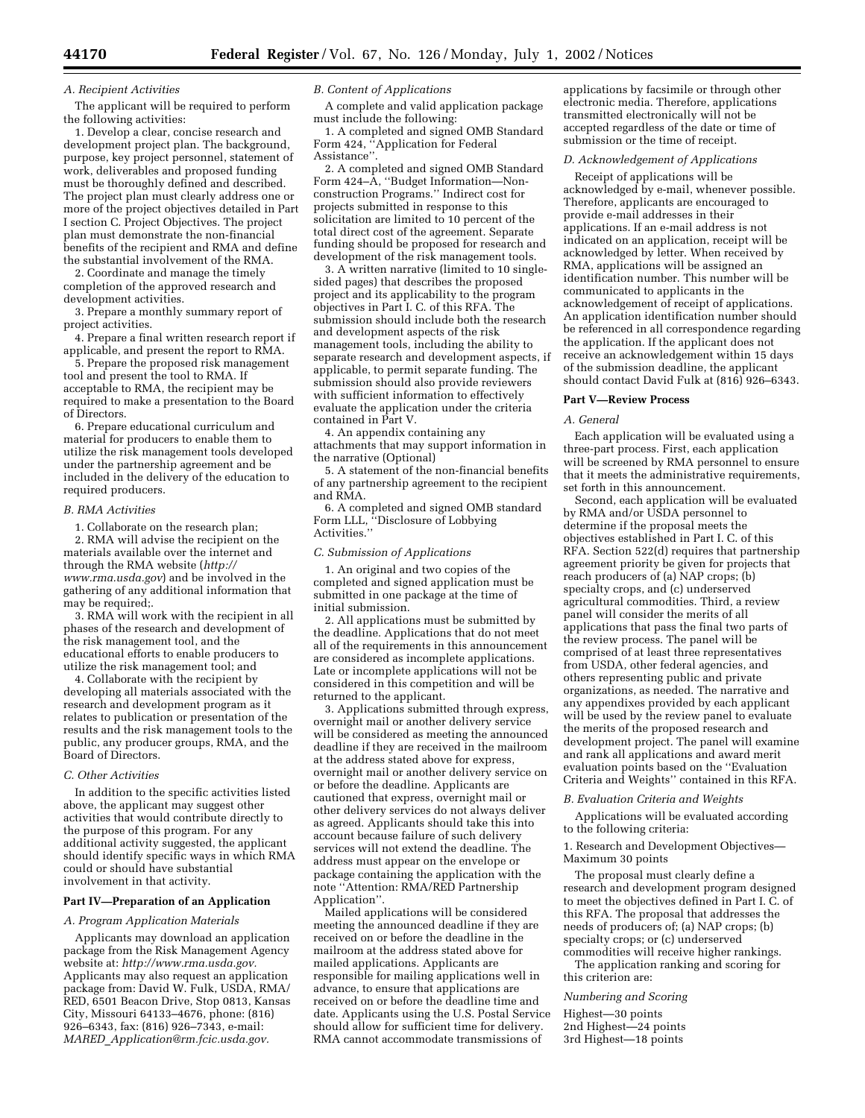## *A. Recipient Activities*

The applicant will be required to perform the following activities:

1. Develop a clear, concise research and development project plan. The background, purpose, key project personnel, statement of work, deliverables and proposed funding must be thoroughly defined and described. The project plan must clearly address one or more of the project objectives detailed in Part I section C. Project Objectives. The project plan must demonstrate the non-financial benefits of the recipient and RMA and define the substantial involvement of the RMA.

2. Coordinate and manage the timely completion of the approved research and development activities.

3. Prepare a monthly summary report of project activities.

4. Prepare a final written research report if applicable, and present the report to RMA.

5. Prepare the proposed risk management tool and present the tool to RMA. If acceptable to RMA, the recipient may be required to make a presentation to the Board of Directors.

6. Prepare educational curriculum and material for producers to enable them to utilize the risk management tools developed under the partnership agreement and be included in the delivery of the education to required producers.

## *B. RMA Activities*

1. Collaborate on the research plan;

2. RMA will advise the recipient on the materials available over the internet and through the RMA website (*http:// www.rma.usda.gov*) and be involved in the gathering of any additional information that may be required;.

3. RMA will work with the recipient in all phases of the research and development of the risk management tool, and the educational efforts to enable producers to utilize the risk management tool; and

4. Collaborate with the recipient by developing all materials associated with the research and development program as it relates to publication or presentation of the results and the risk management tools to the public, any producer groups, RMA, and the Board of Directors.

## *C. Other Activities*

In addition to the specific activities listed above, the applicant may suggest other activities that would contribute directly to the purpose of this program. For any additional activity suggested, the applicant should identify specific ways in which RMA could or should have substantial involvement in that activity.

## **Part IV—Preparation of an Application**

#### *A. Program Application Materials*

Applicants may download an application package from the Risk Management Agency website at: *http://www.rma.usda.gov.* Applicants may also request an application package from: David W. Fulk, USDA, RMA/ RED, 6501 Beacon Drive, Stop 0813, Kansas City, Missouri 64133–4676, phone: (816) 926–6343, fax: (816) 926–7343, e-mail: *MARED*\_*Application@rm.fcic.usda.gov.*

## *B. Content of Applications*

A complete and valid application package must include the following:

1. A completed and signed OMB Standard Form 424, ''Application for Federal Assistance''.

2. A completed and signed OMB Standard Form 424–A, ''Budget Information—Nonconstruction Programs.'' Indirect cost for projects submitted in response to this solicitation are limited to 10 percent of the total direct cost of the agreement. Separate funding should be proposed for research and development of the risk management tools.

3. A written narrative (limited to 10 singlesided pages) that describes the proposed project and its applicability to the program objectives in Part I. C. of this RFA. The submission should include both the research and development aspects of the risk management tools, including the ability to separate research and development aspects, if applicable, to permit separate funding. The submission should also provide reviewers with sufficient information to effectively evaluate the application under the criteria contained in Part V.

4. An appendix containing any attachments that may support information in the narrative (Optional)

5. A statement of the non-financial benefits of any partnership agreement to the recipient and RMA.

6. A completed and signed OMB standard Form LLL, ''Disclosure of Lobbying Activities."

## *C. Submission of Applications*

1. An original and two copies of the completed and signed application must be submitted in one package at the time of initial submission.

2. All applications must be submitted by the deadline. Applications that do not meet all of the requirements in this announcement are considered as incomplete applications. Late or incomplete applications will not be considered in this competition and will be returned to the applicant.

3. Applications submitted through express, overnight mail or another delivery service will be considered as meeting the announced deadline if they are received in the mailroom at the address stated above for express, overnight mail or another delivery service on or before the deadline. Applicants are cautioned that express, overnight mail or other delivery services do not always deliver as agreed. Applicants should take this into account because failure of such delivery services will not extend the deadline. The address must appear on the envelope or package containing the application with the note ''Attention: RMA/RED Partnership Application''.

Mailed applications will be considered meeting the announced deadline if they are received on or before the deadline in the mailroom at the address stated above for mailed applications. Applicants are responsible for mailing applications well in advance, to ensure that applications are received on or before the deadline time and date. Applicants using the U.S. Postal Service should allow for sufficient time for delivery. RMA cannot accommodate transmissions of

applications by facsimile or through other electronic media. Therefore, applications transmitted electronically will not be accepted regardless of the date or time of submission or the time of receipt.

# *D. Acknowledgement of Applications*

Receipt of applications will be acknowledged by e-mail, whenever possible. Therefore, applicants are encouraged to provide e-mail addresses in their applications. If an e-mail address is not indicated on an application, receipt will be acknowledged by letter. When received by RMA, applications will be assigned an identification number. This number will be communicated to applicants in the acknowledgement of receipt of applications. An application identification number should be referenced in all correspondence regarding the application. If the applicant does not receive an acknowledgement within 15 days of the submission deadline, the applicant should contact David Fulk at (816) 926–6343.

## **Part V—Review Process**

#### *A. General*

Each application will be evaluated using a three-part process. First, each application will be screened by RMA personnel to ensure that it meets the administrative requirements, set forth in this announcement.

Second, each application will be evaluated by RMA and/or USDA personnel to determine if the proposal meets the objectives established in Part I. C. of this RFA. Section 522(d) requires that partnership agreement priority be given for projects that reach producers of (a) NAP crops; (b) specialty crops, and (c) underserved agricultural commodities. Third, a review panel will consider the merits of all applications that pass the final two parts of the review process. The panel will be comprised of at least three representatives from USDA, other federal agencies, and others representing public and private organizations, as needed. The narrative and any appendixes provided by each applicant will be used by the review panel to evaluate the merits of the proposed research and development project. The panel will examine and rank all applications and award merit evaluation points based on the ''Evaluation Criteria and Weights'' contained in this RFA.

#### *B. Evaluation Criteria and Weights*

Applications will be evaluated according to the following criteria:

1. Research and Development Objectives— Maximum 30 points

The proposal must clearly define a research and development program designed to meet the objectives defined in Part I. C. of this RFA. The proposal that addresses the needs of producers of; (a) NAP crops; (b) specialty crops; or (c) underserved commodities will receive higher rankings.

The application ranking and scoring for this criterion are:

#### *Numbering and Scoring*

Highest—30 points

2nd Highest—24 points 3rd Highest—18 points